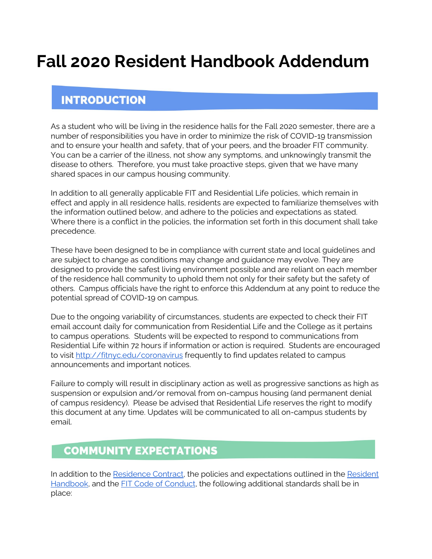# **Fall 2020 Resident Handbook Addendum**

# **INTRODUCTION**

As a student who will be living in the residence halls for the Fall 2020 semester, there are a number of responsibilities you have in order to minimize the risk of COVID-19 transmission and to ensure your health and safety, that of your peers, and the broader FIT community. You can be a carrier of the illness, not show any symptoms, and unknowingly transmit the disease to others. Therefore, you must take proactive steps, given that we have many shared spaces in our campus housing community.

In addition to all generally applicable FIT and Residential Life policies, which remain in effect and apply in all residence halls, residents are expected to familiarize themselves with the information outlined below, and adhere to the policies and expectations as stated. Where there is a conflict in the policies, the information set forth in this document shall take precedence.

These have been designed to be in compliance with current state and local guidelines and are subject to change as conditions may change and guidance may evolve. They are designed to provide the safest living environment possible and are reliant on each member of the residence hall community to uphold them not only for their safety but the safety of others. Campus officials have the right to enforce this Addendum at any point to reduce the potential spread of COVID-19 on campus.

Due to the ongoing variability of circumstances, students are expected to check their FIT email account daily for communication from Residential Life and the College as it pertains to campus operations. Students will be expected to respond to communications from Residential Life within 72 hours if information or action is required. Students are encouraged to visit <http://fitnyc.edu/coronavirus> frequently to find updates related to campus announcements and important notices.

Failure to comply will result in disciplinary action as well as progressive sanctions as high as suspension or expulsion and/or removal from on-campus housing (and permanent denial of campus residency). Please be advised that Residential Life reserves the right to modify this document at any time. Updates will be communicated to all on-campus students by email.

# **COMMUNITY EXPECTATIONS**

In addition to the [Residence](http://www.fitnyc.edu/residential-life/policies/index.php) Contract, the policies and expectations outlined in the [Resident](http://www.fitnyc.edu/residential-life/policies/index.php) [Handbook](http://www.fitnyc.edu/residential-life/policies/index.php), and the [F](http://www.fitnyc.edu/policies/enrollment-management/code-of-conduct.php)IT Code of [Conduct](http://www.fitnyc.edu/policies/enrollment-management/code-of-conduct.php), the following additional standards shall be in place: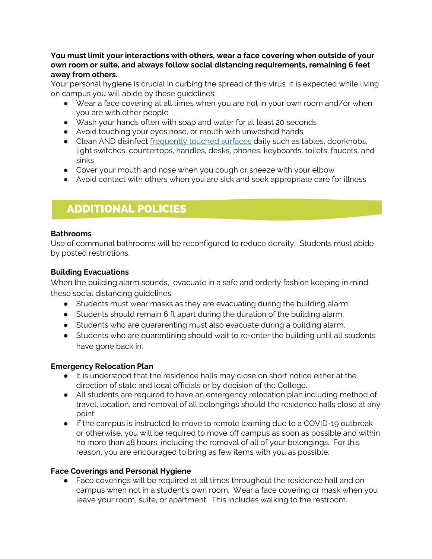#### **You must limit your interactions with others, wear a face covering when outside of your own room or suite, and always follow social distancing requirements, remaining 6 feet away from others.**

Your personal hygiene is crucial in curbing the spread of this virus. It is expected while living on campus you will abide by these guidelines:

- Wear a face covering at all times when you are not in your own room and/or when you are with other people
- Wash your hands often with soap and water for at least 20 seconds
- Avoid touching your eyes,nose, or mouth with unwashed hands
- Clean AND disinfect [frequently](https://www.cdc.gov/coronavirus/2019-ncov/prepare/cleaning-disinfection.html) touched surfaces daily such as tables, doorknobs, light switches, countertops, handles, desks, phones, keyboards, toilets, faucets, and sinks
- Cover your mouth and nose when you cough or sneeze with your elbow
- Avoid contact with others when you are sick and seek appropriate care for illness

# **ADDITIONAL POLICIES**

### **Bathrooms**

Use of communal bathrooms will be reconfigured to reduce density. Students must abide by posted restrictions.

## **Building Evacuations**

When the building alarm sounds, evacuate in a safe and orderly fashion keeping in mind these social distancing guidelines:

- Students must wear masks as they are evacuating during the building alarm.
- Students should remain 6 ft apart during the duration of the building alarm.
- Students who are quararenting must also evacuate during a building alarm.
- Students who are quarantining should wait to re-enter the building until all students have gone back in.

# **Emergency Relocation Plan**

- It is understood that the residence halls may close on short notice either at the direction of state and local officials or by decision of the College.
- All students are required to have an emergency relocation plan including method of travel, location, and removal of all belongings should the residence halls close at any point.
- If the campus is instructed to move to remote learning due to a COVID-19 outbreak or otherwise, you will be required to move off campus as soon as possible and within no more than 48 hours, including the removal of all of your belongings. For this reason, you are encouraged to bring as few items with you as possible.

### **Face Coverings and Personal Hygiene**

● Face coverings will be required at all times throughout the residence hall and on campus when not in a student's own room. Wear a face covering or mask when you leave your room, suite, or apartment. This includes walking to the restroom.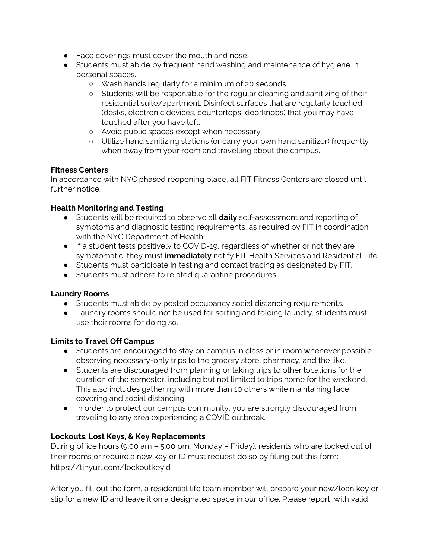- Face coverings must cover the mouth and nose.
- Students must abide by frequent hand washing and maintenance of hygiene in personal spaces.
	- Wash hands regularly for a minimum of 20 seconds.
	- Students will be responsible for the regular cleaning and sanitizing of their residential suite/apartment. Disinfect surfaces that are regularly touched (desks, electronic devices, countertops, doorknobs) that you may have touched after you have left.
	- Avoid public spaces except when necessary.
	- Utilize hand sanitizing stations (or carry your own hand sanitizer) frequently when away from your room and travelling about the campus.

#### **Fitness Centers**

In accordance with NYC phased reopening place, all FIT Fitness Centers are closed until further notice.

#### **Health Monitoring and Testing**

- Students will be required to observe all **daily** self-assessment and reporting of symptoms and diagnostic testing requirements, as required by FIT in coordination with the NYC Department of Health.
- If a student tests positively to COVID-19, regardless of whether or not they are symptomatic, they must **immediately** notify FIT Health Services and Residential Life.
- Students must participate in testing and contact tracing as designated by FIT.
- Students must adhere to related quarantine procedures.

#### **Laundry Rooms**

- Students must abide by posted occupancy social distancing requirements.
- Laundry rooms should not be used for sorting and folding laundry, students must use their rooms for doing so.

#### **Limits to Travel Off Campus**

- Students are encouraged to stay on campus in class or in room whenever possible observing necessary-only trips to the grocery store, pharmacy, and the like.
- Students are discouraged from planning or taking trips to other locations for the duration of the semester, including but not limited to trips home for the weekend. This also includes gathering with more than 10 others while maintaining face covering and social distancing.
- In order to protect our campus community, you are strongly discouraged from traveling to any area experiencing a COVID outbreak.

### **Lockouts, Lost Keys, & Key Replacements**

During office hours (9:00 am – 5:00 pm, Monday – Friday), residents who are locked out of their rooms or require a new key or ID must request do so by filling out this form: https://tinyurl.com/lockoutkeyid

After you fill out the form, a residential life team member will prepare your new/loan key or slip for a new ID and leave it on a designated space in our office. Please report, with valid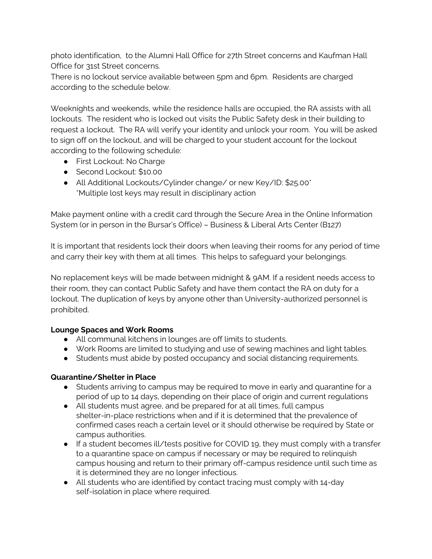photo identification, to the Alumni Hall Office for 27th Street concerns and Kaufman Hall Office for 31st Street concerns.

There is no lockout service available between 5pm and 6pm. Residents are charged according to the schedule below.

Weeknights and weekends, while the residence halls are occupied, the RA assists with all lockouts. The resident who is locked out visits the Public Safety desk in their building to request a lockout. The RA will verify your identity and unlock your room. You will be asked to sign off on the lockout, and will be charged to your student account for the lockout according to the following schedule:

- First Lockout: No Charge
- Second Lockout: \$10.00
- All Additional Lockouts/Cylinder change/ or new Key/ID: \$25.00\* \*Multiple lost keys may result in disciplinary action

Make payment online with a credit card through the Secure Area in the Online Information System (or in person in the Bursar's Office) – Business & Liberal Arts Center (B127)

It is important that residents lock their doors when leaving their rooms for any period of time and carry their key with them at all times. This helps to safeguard your belongings.

No replacement keys will be made between midnight & 9AM. If a resident needs access to their room, they can contact Public Safety and have them contact the RA on duty for a lockout. The duplication of keys by anyone other than University-authorized personnel is prohibited.

### **Lounge Spaces and Work Rooms**

- All communal kitchens in lounges are off limits to students.
- Work Rooms are limited to studying and use of sewing machines and light tables.
- Students must abide by posted occupancy and social distancing requirements.

### **Quarantine/Shelter in Place**

- Students arriving to campus may be required to move in early and quarantine for a period of up to 14 days, depending on their place of origin and current regulations
- All students must agree, and be prepared for at all times, full campus shelter-in-place restrictions when and if it is determined that the prevalence of confirmed cases reach a certain level or it should otherwise be required by State or campus authorities.
- If a student becomes ill/tests positive for COVID 19, they must comply with a transfer to a quarantine space on campus if necessary or may be required to relinquish campus housing and return to their primary off-campus residence until such time as it is determined they are no longer infectious.
- All students who are identified by contact tracing must comply with 14-day self-isolation in place where required.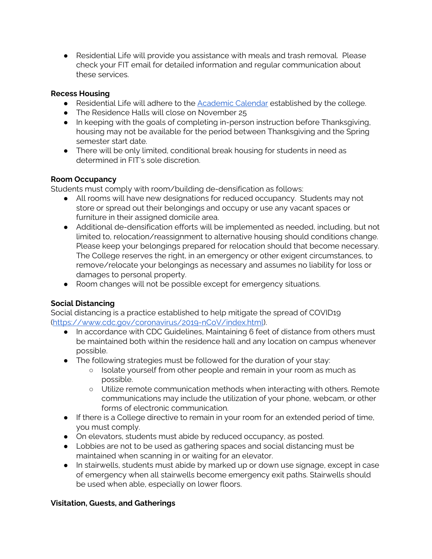● Residential Life will provide you assistance with meals and trash removal. Please check your FIT email for detailed information and regular communication about these services.

#### **Recess Housing**

- Residential Life will adhere to the **[Academic](http://www.fitnyc.edu/registrar/academic-calendar/2020-2021.php) Calendar** established by the college.
- The Residence Halls will close on November 25
- In keeping with the goals of completing in-person instruction before Thanksgiving, housing may not be available for the period between Thanksgiving and the Spring semester start date.
- There will be only limited, conditional break housing for students in need as determined in FIT's sole discretion.

### **Room Occupancy**

Students must comply with room/building de-densification as follows:

- All rooms will have new designations for reduced occupancy. Students may not store or spread out their belongings and occupy or use any vacant spaces or furniture in their assigned domicile area.
- Additional de-densification efforts will be implemented as needed, including, but not limited to, relocation/reassignment to alternative housing should conditions change. Please keep your belongings prepared for relocation should that become necessary. The College reserves the right, in an emergency or other exigent circumstances, to remove/relocate your belongings as necessary and assumes no liability for loss or damages to personal property.
- Room changes will not be possible except for emergency situations.

# **Social Distancing**

Social distancing is a practice established to help mitigate the spread of COVID19 ([https://www.cdc.gov/coronavirus/2019-nCoV/index.html\)](https://www.cdc.gov/coronavirus/2019-nCoV/index.html).

- In accordance with CDC Guidelines, Maintaining 6 feet of distance from others must be maintained both within the residence hall and any location on campus whenever possible.
- The following strategies must be followed for the duration of your stay:
	- Isolate yourself from other people and remain in your room as much as possible.
	- Utilize remote communication methods when interacting with others. Remote communications may include the utilization of your phone, webcam, or other forms of electronic communication.
- If there is a College directive to remain in your room for an extended period of time, you must comply.
- On elevators, students must abide by reduced occupancy, as posted.
- Lobbies are not to be used as gathering spaces and social distancing must be maintained when scanning in or waiting for an elevator.
- In stairwells, students must abide by marked up or down use signage, except in case of emergency when all stairwells become emergency exit paths. Stairwells should be used when able, especially on lower floors.

# **Visitation, Guests, and Gatherings**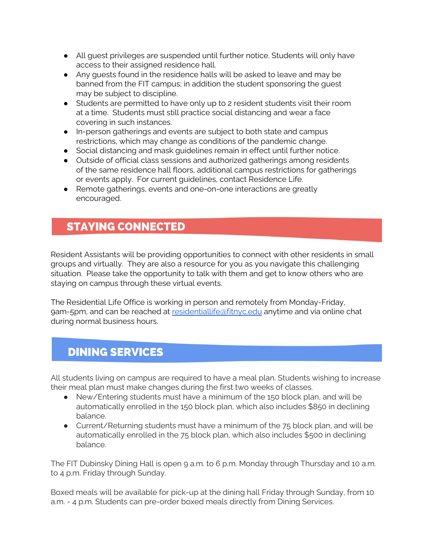- All guest privileges are suspended until further notice. Students will only have access to their assigned residence hall.
- Any guests found in the residence halls will be asked to leave and may be banned from the FIT campus; in addition the student sponsoring the guest may be subject to discipline.
- Students are permitted to have only up to 2 resident students visit their room at a time. Students must still practice social distancing and wear a face covering in such instances.
- In-person gatherings and events are subject to both state and campus restrictions, which may change as conditions of the pandemic change.
- Social distancing and mask guidelines remain in effect until further notice.
- Outside of official class sessions and authorized gatherings among residents of the same residence hall floors, additional campus restrictions for gatherings or events apply. For current guidelines, contact Residence Life.
- Remote gatherings, events and one-on-one interactions are greatly encouraged.

# **STAYING CONNECTED**

Resident Assistants will be providing opportunities to connect with other residents in small groups and virtually. They are also a resource for you as you navigate this challenging situation. Please take the opportunity to talk with them and get to know others who are staying on campus through these virtual events.

The Residential Life Office is working in person and remotely from Monday-Friday, 9am-5pm, and can be reached at [residentiallife@fitnyc.edu](mailto:residentiallife@fitnyc.edu) anytime and via online chat during normal business hours.

# **DINING SERVICES**

All students living on campus are required to have a meal plan. Students wishing to increase their meal plan must make changes during the first two weeks of classes.

- New/Entering students must have a minimum of the 150 block plan, and will be automatically enrolled in the 150 block plan, which also includes \$850 in declining balance.
- Current/Returning students must have a minimum of the 75 block plan, and will be automatically enrolled in the 75 block plan, which also includes \$500 in declining balance.

The FIT Dubinsky Dining Hall is open 9 a.m. to 6 p.m. Monday through Thursday and 10 a.m. to 4 p.m. Friday through Sunday.

Boxed meals will be available for pick-up at the dining hall Friday through Sunday, from 10 a.m. - 4 p.m. Students can pre-order boxed meals directly from Dining Services.